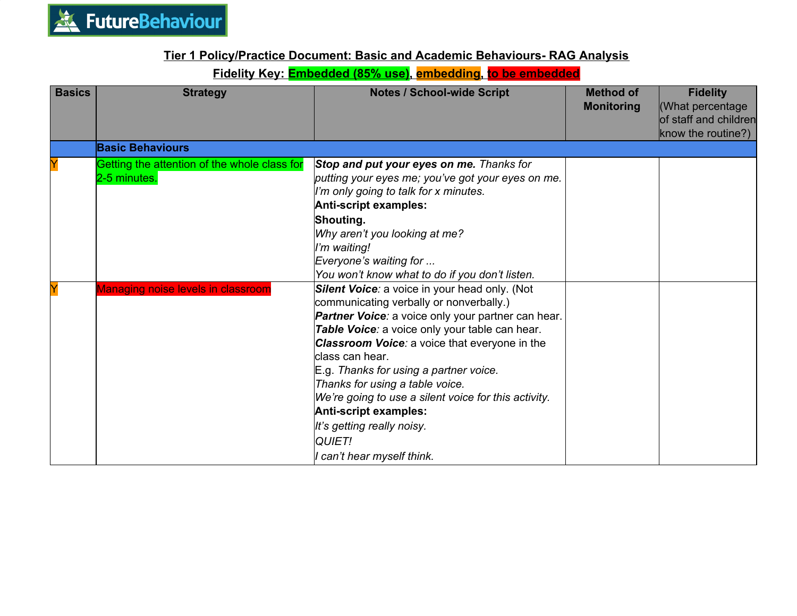

## **Tier 1 Policy/Practice Document: Basic and Academic Behaviours- RAG Analysis**

## **Fidelity Key: Embedded (85% use), embedding, to be embedded**

| <b>Basics</b> | <b>Strategy</b>                                              | <b>Notes / School-wide Script</b>                                                                                                                                                                                                                                                                                                                                                                                                                                                                                      | <b>Method of</b><br><b>Monitoring</b> | <b>Fidelity</b><br>(What percentage<br>of staff and children<br>know the routine?) |
|---------------|--------------------------------------------------------------|------------------------------------------------------------------------------------------------------------------------------------------------------------------------------------------------------------------------------------------------------------------------------------------------------------------------------------------------------------------------------------------------------------------------------------------------------------------------------------------------------------------------|---------------------------------------|------------------------------------------------------------------------------------|
|               | <b>Basic Behaviours</b>                                      |                                                                                                                                                                                                                                                                                                                                                                                                                                                                                                                        |                                       |                                                                                    |
|               | Getting the attention of the whole class for<br>2-5 minutes. | Stop and put your eyes on me. Thanks for<br>putting your eyes me; you've got your eyes on me.<br>I'm only going to talk for x minutes.<br>Anti-script examples:                                                                                                                                                                                                                                                                                                                                                        |                                       |                                                                                    |
|               |                                                              | Shouting.<br>Why aren't you looking at me?<br>I'm waiting!<br>Everyone's waiting for<br>You won't know what to do if you don't listen.                                                                                                                                                                                                                                                                                                                                                                                 |                                       |                                                                                    |
|               | Managing noise levels in classroom                           | Silent Voice: a voice in your head only. (Not<br>communicating verbally or nonverbally.)<br><b>Partner Voice:</b> a voice only your partner can hear.<br>Table Voice: a voice only your table can hear.<br><b>Classroom Voice:</b> a voice that everyone in the<br>class can hear.<br>E.g. Thanks for using a partner voice.<br>Thanks for using a table voice.<br>We're going to use a silent voice for this activity.<br>Anti-script examples:<br>It's getting really noisy.<br>QUIET!<br>I can't hear myself think. |                                       |                                                                                    |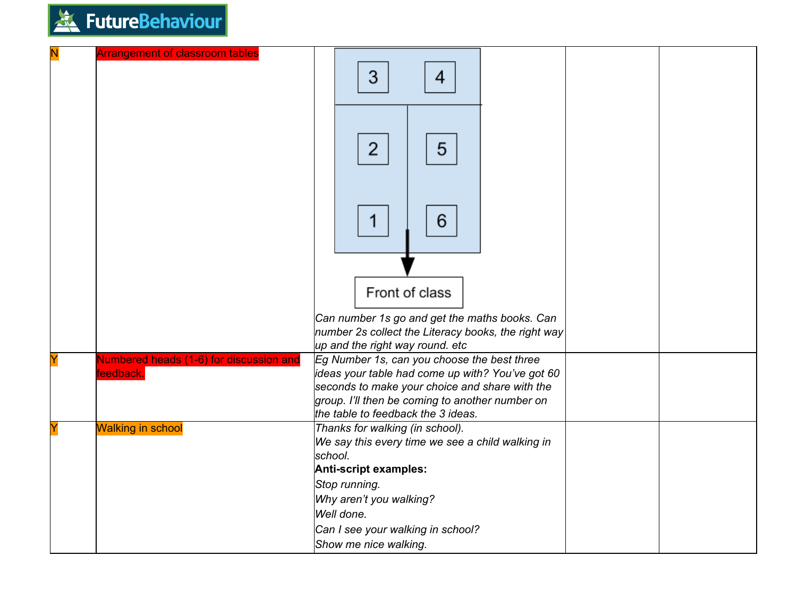

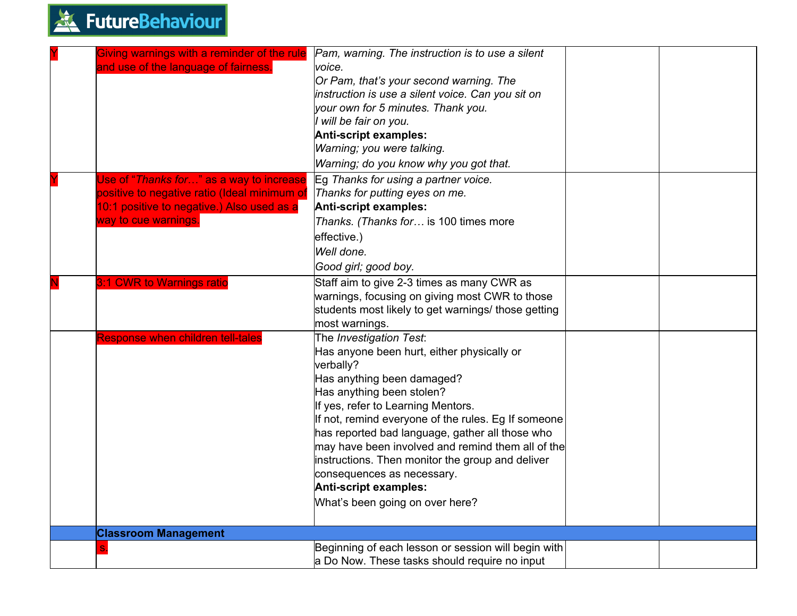| Giving warnings with a reminder of the rule<br>and use of the language of fairness.                                                    | Pam, warning. The instruction is to use a silent<br>voice.<br>Or Pam, that's your second warning. The<br>instruction is use a silent voice. Can you sit on<br>your own for 5 minutes. Thank you.<br>I will be fair on you.<br>Anti-script examples:                                                                                                                                                                                                                                              |  |
|----------------------------------------------------------------------------------------------------------------------------------------|--------------------------------------------------------------------------------------------------------------------------------------------------------------------------------------------------------------------------------------------------------------------------------------------------------------------------------------------------------------------------------------------------------------------------------------------------------------------------------------------------|--|
|                                                                                                                                        | Warning; you were talking.                                                                                                                                                                                                                                                                                                                                                                                                                                                                       |  |
|                                                                                                                                        | Warning; do you know why you got that.                                                                                                                                                                                                                                                                                                                                                                                                                                                           |  |
| Use of "Thanks for" as a way to increase<br>positive to negative ratio (Ideal minimum of<br>10:1 positive to negative.) Also used as a | Eg Thanks for using a partner voice.<br>Thanks for putting eyes on me.<br>Anti-script examples:                                                                                                                                                                                                                                                                                                                                                                                                  |  |
| way to cue warnings.                                                                                                                   | Thanks. (Thanks for is 100 times more<br>effective.)                                                                                                                                                                                                                                                                                                                                                                                                                                             |  |
|                                                                                                                                        | Well done.                                                                                                                                                                                                                                                                                                                                                                                                                                                                                       |  |
|                                                                                                                                        | Good girl; good boy.                                                                                                                                                                                                                                                                                                                                                                                                                                                                             |  |
| 3:1 CWR to Warnings ratio                                                                                                              | Staff aim to give 2-3 times as many CWR as                                                                                                                                                                                                                                                                                                                                                                                                                                                       |  |
|                                                                                                                                        | warnings, focusing on giving most CWR to those<br>students most likely to get warnings/ those getting                                                                                                                                                                                                                                                                                                                                                                                            |  |
|                                                                                                                                        | most warnings.                                                                                                                                                                                                                                                                                                                                                                                                                                                                                   |  |
| Response when children tell-tales                                                                                                      | The Investigation Test:<br>Has anyone been hurt, either physically or<br>verbally?<br>Has anything been damaged?<br>Has anything been stolen?<br>If yes, refer to Learning Mentors.<br>If not, remind everyone of the rules. Eg If someone<br>has reported bad language, gather all those who<br>may have been involved and remind them all of the<br>instructions. Then monitor the group and deliver<br>consequences as necessary.<br>Anti-script examples:<br>What's been going on over here? |  |
| <b>Classroom Management</b>                                                                                                            |                                                                                                                                                                                                                                                                                                                                                                                                                                                                                                  |  |
|                                                                                                                                        | Beginning of each lesson or session will begin with<br>a Do Now. These tasks should require no input                                                                                                                                                                                                                                                                                                                                                                                             |  |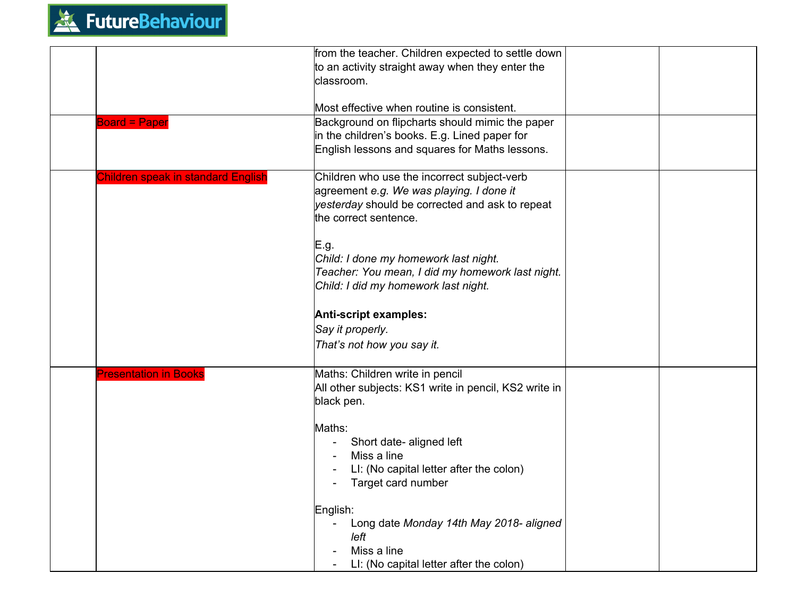

|                                           | from the teacher. Children expected to settle down<br>to an activity straight away when they enter the<br>classroom.                                                |
|-------------------------------------------|---------------------------------------------------------------------------------------------------------------------------------------------------------------------|
|                                           | Most effective when routine is consistent.                                                                                                                          |
| <b>Board = Paper</b>                      | Background on flipcharts should mimic the paper<br>in the children's books. E.g. Lined paper for<br>English lessons and squares for Maths lessons.                  |
| <b>Children speak in standard English</b> | Children who use the incorrect subject-verb<br>agreement e.g. We was playing. I done it<br>yesterday should be corrected and ask to repeat<br>the correct sentence. |
|                                           | E.g.<br>Child: I done my homework last night.<br>Teacher: You mean, I did my homework last night.<br>Child: I did my homework last night.                           |
|                                           | Anti-script examples:<br>Say it properly.<br>That's not how you say it.                                                                                             |
| <b>Presentation in Books</b>              | Maths: Children write in pencil<br>All other subjects: KS1 write in pencil, KS2 write in<br>black pen.                                                              |
|                                           | Maths:<br>Short date- aligned left<br>Miss a line<br>LI: (No capital letter after the colon)<br>Target card number                                                  |
|                                           | English:<br>Long date Monday 14th May 2018- aligned<br>left<br>Miss a line<br>LI: (No capital letter after the colon)                                               |
|                                           |                                                                                                                                                                     |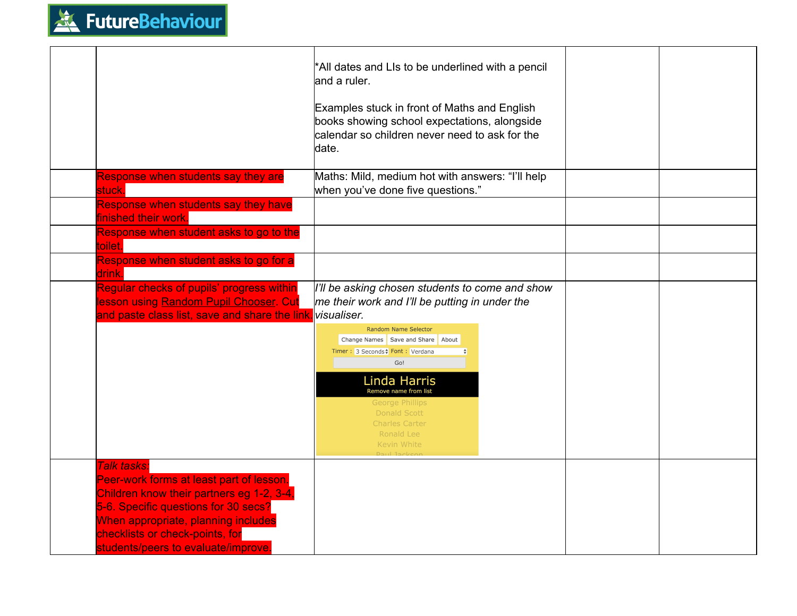

|                                                                                                                                                                                                                                                               | *All dates and LIs to be underlined with a pencil<br>land a ruler.<br>Examples stuck in front of Maths and English<br>books showing school expectations, alongside<br>calendar so children never need to ask for the<br>date.                                                                                                                                            |  |
|---------------------------------------------------------------------------------------------------------------------------------------------------------------------------------------------------------------------------------------------------------------|--------------------------------------------------------------------------------------------------------------------------------------------------------------------------------------------------------------------------------------------------------------------------------------------------------------------------------------------------------------------------|--|
| Response when students say they are<br>stuck.                                                                                                                                                                                                                 | Maths: Mild, medium hot with answers: "I'll help<br>when you've done five questions."                                                                                                                                                                                                                                                                                    |  |
| Response when students say they have<br>finished their work.                                                                                                                                                                                                  |                                                                                                                                                                                                                                                                                                                                                                          |  |
| Response when student asks to go to the<br>toilet.                                                                                                                                                                                                            |                                                                                                                                                                                                                                                                                                                                                                          |  |
| Response when student asks to go for a<br>drink.                                                                                                                                                                                                              |                                                                                                                                                                                                                                                                                                                                                                          |  |
| Regular checks of pupils' progress within<br>lesson using Random Pupil Chooser. Cut<br>and paste class list, save and share the link                                                                                                                          | I'll be asking chosen students to come and show<br>me their work and I'll be putting in under the<br><b>N</b> isualiser.<br><b>Random Name Selector</b><br>Change Names Save and Share About<br>Timer: 3 Seconds; Font: Verdana<br>Go!<br>Linda Harris<br>Remove name from list<br>George Phillips<br>Donald Scott<br><b>Charles Carter</b><br>Ronald Lee<br>Kevin White |  |
| Talk tasks:<br>Peer-work forms at least part of lesson.<br>Children know their partners eg 1-2, 3-4,<br>5-6. Specific questions for 30 secs?<br>When appropriate, planning includes<br>checklists or check-points, for<br>students/peers to evaluate/improve. |                                                                                                                                                                                                                                                                                                                                                                          |  |